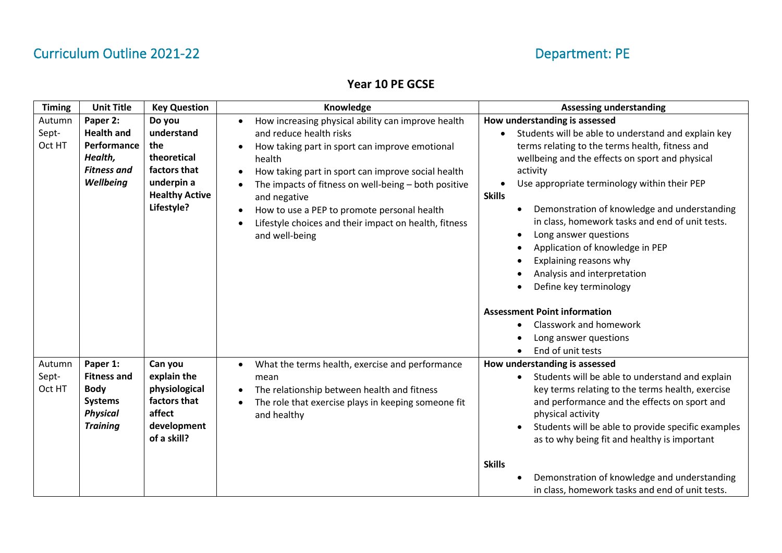### **Year 10 PE GCSE**

| <b>Timing</b>             | <b>Unit Title</b>                                                                                     | <b>Key Question</b>                                                                                             | Knowledge                                                                                                                                                                                                                                                                                                                                                                                                                   | <b>Assessing understanding</b>                                                                                                                                                                                                                                                                                                                                                                                                                                                                                                                     |
|---------------------------|-------------------------------------------------------------------------------------------------------|-----------------------------------------------------------------------------------------------------------------|-----------------------------------------------------------------------------------------------------------------------------------------------------------------------------------------------------------------------------------------------------------------------------------------------------------------------------------------------------------------------------------------------------------------------------|----------------------------------------------------------------------------------------------------------------------------------------------------------------------------------------------------------------------------------------------------------------------------------------------------------------------------------------------------------------------------------------------------------------------------------------------------------------------------------------------------------------------------------------------------|
| Autumn<br>Sept-<br>Oct HT | Paper 2:<br><b>Health and</b><br>Performance<br>Health,<br><b>Fitness and</b><br>Wellbeing            | Do you<br>understand<br>the<br>theoretical<br>factors that<br>underpin a<br><b>Healthy Active</b><br>Lifestyle? | How increasing physical ability can improve health<br>and reduce health risks<br>How taking part in sport can improve emotional<br>health<br>How taking part in sport can improve social health<br>The impacts of fitness on well-being - both positive<br>and negative<br>How to use a PEP to promote personal health<br>$\bullet$<br>Lifestyle choices and their impact on health, fitness<br>$\bullet$<br>and well-being | How understanding is assessed<br>Students will be able to understand and explain key<br>terms relating to the terms health, fitness and<br>wellbeing and the effects on sport and physical<br>activity<br>Use appropriate terminology within their PEP<br><b>Skills</b><br>Demonstration of knowledge and understanding<br>in class, homework tasks and end of unit tests.<br>Long answer questions<br>Application of knowledge in PEP<br>Explaining reasons why<br>Analysis and interpretation<br>Define key terminology                          |
| Autumn<br>Sept-<br>Oct HT | Paper 1:<br><b>Fitness and</b><br><b>Body</b><br><b>Systems</b><br><b>Physical</b><br><b>Training</b> | Can you<br>explain the<br>physiological<br>factors that<br>affect<br>development<br>of a skill?                 | What the terms health, exercise and performance<br>mean<br>The relationship between health and fitness<br>$\bullet$<br>The role that exercise plays in keeping someone fit<br>and healthy                                                                                                                                                                                                                                   | <b>Assessment Point information</b><br>Classwork and homework<br>Long answer questions<br>End of unit tests<br>How understanding is assessed<br>Students will be able to understand and explain<br>key terms relating to the terms health, exercise<br>and performance and the effects on sport and<br>physical activity<br>Students will be able to provide specific examples<br>as to why being fit and healthy is important<br><b>Skills</b><br>Demonstration of knowledge and understanding<br>in class, homework tasks and end of unit tests. |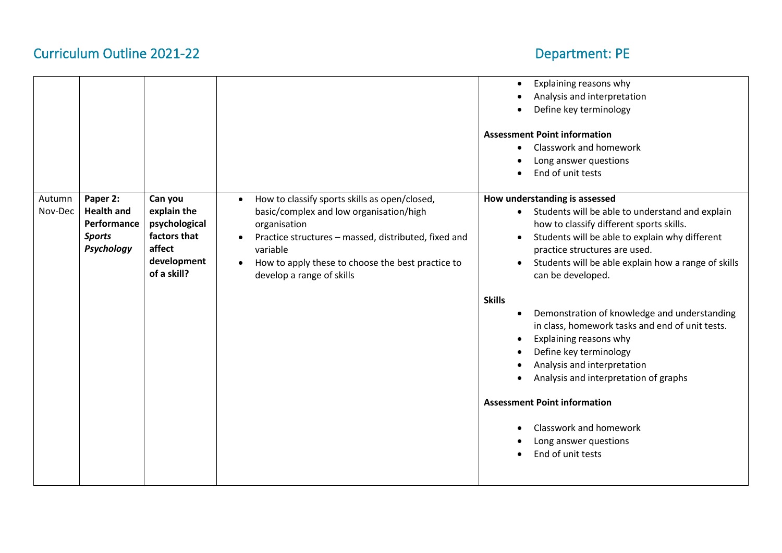|                   |                                                                             |                                                                   |                                                                                                                                                                                           | Explaining reasons why<br>$\bullet$                                                                                                                                                                                                                                                                                                                                                                                                                    |
|-------------------|-----------------------------------------------------------------------------|-------------------------------------------------------------------|-------------------------------------------------------------------------------------------------------------------------------------------------------------------------------------------|--------------------------------------------------------------------------------------------------------------------------------------------------------------------------------------------------------------------------------------------------------------------------------------------------------------------------------------------------------------------------------------------------------------------------------------------------------|
|                   |                                                                             |                                                                   |                                                                                                                                                                                           | Analysis and interpretation                                                                                                                                                                                                                                                                                                                                                                                                                            |
|                   |                                                                             |                                                                   |                                                                                                                                                                                           | Define key terminology                                                                                                                                                                                                                                                                                                                                                                                                                                 |
| Autumn<br>Nov-Dec | Paper 2:<br><b>Health and</b><br>Performance<br><b>Sports</b><br>Psychology | Can you<br>explain the<br>psychological<br>factors that<br>affect | How to classify sports skills as open/closed,<br>$\bullet$<br>basic/complex and low organisation/high<br>organisation<br>Practice structures - massed, distributed, fixed and<br>variable | <b>Assessment Point information</b><br>Classwork and homework<br>$\bullet$<br>Long answer questions<br>End of unit tests<br>How understanding is assessed<br>Students will be able to understand and explain<br>$\bullet$<br>how to classify different sports skills.<br>Students will be able to explain why different<br>$\bullet$<br>practice structures are used.                                                                                  |
|                   |                                                                             | development                                                       | How to apply these to choose the best practice to                                                                                                                                         | Students will be able explain how a range of skills<br>$\bullet$                                                                                                                                                                                                                                                                                                                                                                                       |
|                   |                                                                             | of a skill?                                                       | develop a range of skills                                                                                                                                                                 | can be developed.                                                                                                                                                                                                                                                                                                                                                                                                                                      |
|                   |                                                                             |                                                                   |                                                                                                                                                                                           | <b>Skills</b><br>Demonstration of knowledge and understanding<br>$\bullet$<br>in class, homework tasks and end of unit tests.<br>Explaining reasons why<br>$\bullet$<br>Define key terminology<br>$\bullet$<br>Analysis and interpretation<br>$\bullet$<br>Analysis and interpretation of graphs<br>$\bullet$<br><b>Assessment Point information</b><br>Classwork and homework<br>$\bullet$<br>Long answer questions<br>$\bullet$<br>End of unit tests |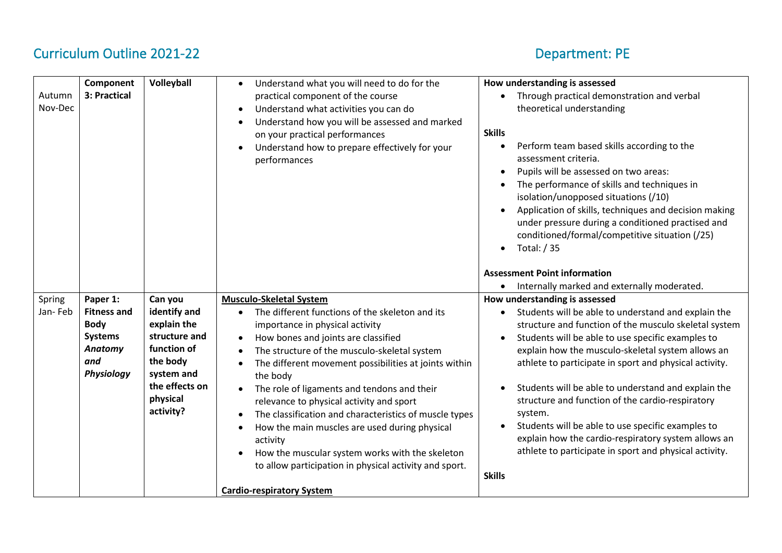| Autumn<br>Nov-Dec | Component<br>3: Practical                                                                       | Volleyball                                                                                                                                  | Understand what you will need to do for the<br>$\bullet$<br>practical component of the course<br>Understand what activities you can do<br>$\bullet$<br>Understand how you will be assessed and marked<br>on your practical performances<br>Understand how to prepare effectively for your<br>performances                                                                                                                                                                                                                                                                                                                                                                     | How understanding is assessed<br>Through practical demonstration and verbal<br>$\bullet$<br>theoretical understanding<br><b>Skills</b><br>Perform team based skills according to the<br>$\bullet$<br>assessment criteria.<br>Pupils will be assessed on two areas:<br>The performance of skills and techniques in<br>isolation/unopposed situations (/10)<br>Application of skills, techniques and decision making<br>under pressure during a conditioned practised and<br>conditioned/formal/competitive situation (/25)<br>Total: / 35<br>$\bullet$                                                                          |
|-------------------|-------------------------------------------------------------------------------------------------|---------------------------------------------------------------------------------------------------------------------------------------------|-------------------------------------------------------------------------------------------------------------------------------------------------------------------------------------------------------------------------------------------------------------------------------------------------------------------------------------------------------------------------------------------------------------------------------------------------------------------------------------------------------------------------------------------------------------------------------------------------------------------------------------------------------------------------------|--------------------------------------------------------------------------------------------------------------------------------------------------------------------------------------------------------------------------------------------------------------------------------------------------------------------------------------------------------------------------------------------------------------------------------------------------------------------------------------------------------------------------------------------------------------------------------------------------------------------------------|
|                   |                                                                                                 |                                                                                                                                             |                                                                                                                                                                                                                                                                                                                                                                                                                                                                                                                                                                                                                                                                               | <b>Assessment Point information</b><br>Internally marked and externally moderated.<br>$\bullet$                                                                                                                                                                                                                                                                                                                                                                                                                                                                                                                                |
| Spring<br>Jan-Feb | Paper 1:<br><b>Fitness and</b><br><b>Body</b><br><b>Systems</b><br>Anatomy<br>and<br>Physiology | Can you<br>identify and<br>explain the<br>structure and<br>function of<br>the body<br>system and<br>the effects on<br>physical<br>activity? | <b>Musculo-Skeletal System</b><br>The different functions of the skeleton and its<br>importance in physical activity<br>How bones and joints are classified<br>$\bullet$<br>The structure of the musculo-skeletal system<br>The different movement possibilities at joints within<br>the body<br>The role of ligaments and tendons and their<br>relevance to physical activity and sport<br>The classification and characteristics of muscle types<br>How the main muscles are used during physical<br>$\bullet$<br>activity<br>How the muscular system works with the skeleton<br>to allow participation in physical activity and sport.<br><b>Cardio-respiratory System</b> | How understanding is assessed<br>Students will be able to understand and explain the<br>structure and function of the musculo skeletal system<br>Students will be able to use specific examples to<br>explain how the musculo-skeletal system allows an<br>athlete to participate in sport and physical activity.<br>Students will be able to understand and explain the<br>structure and function of the cardio-respiratory<br>system.<br>Students will be able to use specific examples to<br>explain how the cardio-respiratory system allows an<br>athlete to participate in sport and physical activity.<br><b>Skills</b> |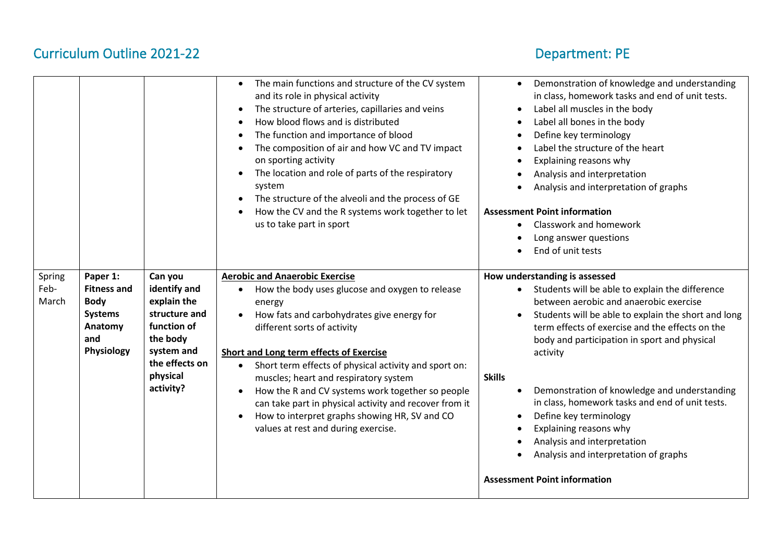|                         |                                                                                                 |                                                                                                                                             | The main functions and structure of the CV system<br>$\bullet$<br>and its role in physical activity<br>The structure of arteries, capillaries and veins<br>$\bullet$<br>How blood flows and is distributed<br>$\bullet$<br>The function and importance of blood<br>$\bullet$<br>The composition of air and how VC and TV impact<br>$\bullet$<br>on sporting activity<br>The location and role of parts of the respiratory<br>$\bullet$<br>system<br>The structure of the alveoli and the process of GE<br>$\bullet$<br>How the CV and the R systems work together to let<br>$\bullet$<br>us to take part in sport | Demonstration of knowledge and understanding<br>$\bullet$<br>in class, homework tasks and end of unit tests.<br>Label all muscles in the body<br>$\bullet$<br>Label all bones in the body<br>$\bullet$<br>Define key terminology<br>$\bullet$<br>Label the structure of the heart<br>$\bullet$<br>Explaining reasons why<br>Analysis and interpretation<br>Analysis and interpretation of graphs<br><b>Assessment Point information</b><br>Classwork and homework<br>Long answer questions<br>End of unit tests |
|-------------------------|-------------------------------------------------------------------------------------------------|---------------------------------------------------------------------------------------------------------------------------------------------|-------------------------------------------------------------------------------------------------------------------------------------------------------------------------------------------------------------------------------------------------------------------------------------------------------------------------------------------------------------------------------------------------------------------------------------------------------------------------------------------------------------------------------------------------------------------------------------------------------------------|-----------------------------------------------------------------------------------------------------------------------------------------------------------------------------------------------------------------------------------------------------------------------------------------------------------------------------------------------------------------------------------------------------------------------------------------------------------------------------------------------------------------|
| Spring<br>Feb-<br>March | Paper 1:<br><b>Fitness and</b><br><b>Body</b><br><b>Systems</b><br>Anatomy<br>and<br>Physiology | Can you<br>identify and<br>explain the<br>structure and<br>function of<br>the body<br>system and<br>the effects on<br>physical<br>activity? | <b>Aerobic and Anaerobic Exercise</b><br>How the body uses glucose and oxygen to release<br>$\bullet$<br>energy<br>How fats and carbohydrates give energy for<br>$\bullet$<br>different sorts of activity<br>Short and Long term effects of Exercise<br>Short term effects of physical activity and sport on:<br>$\bullet$<br>muscles; heart and respiratory system<br>How the R and CV systems work together so people<br>can take part in physical activity and recover from it<br>How to interpret graphs showing HR, SV and CO<br>$\bullet$<br>values at rest and during exercise.                            | How understanding is assessed<br>Students will be able to explain the difference<br>between aerobic and anaerobic exercise<br>Students will be able to explain the short and long<br>$\bullet$<br>term effects of exercise and the effects on the<br>body and participation in sport and physical<br>activity<br><b>Skills</b><br>Demonstration of knowledge and understanding<br>in class, homework tasks and end of unit tests.<br>Define key terminology<br>٠<br>Explaining reasons why<br>$\bullet$         |
|                         |                                                                                                 |                                                                                                                                             |                                                                                                                                                                                                                                                                                                                                                                                                                                                                                                                                                                                                                   | Analysis and interpretation<br>Analysis and interpretation of graphs<br><b>Assessment Point information</b>                                                                                                                                                                                                                                                                                                                                                                                                     |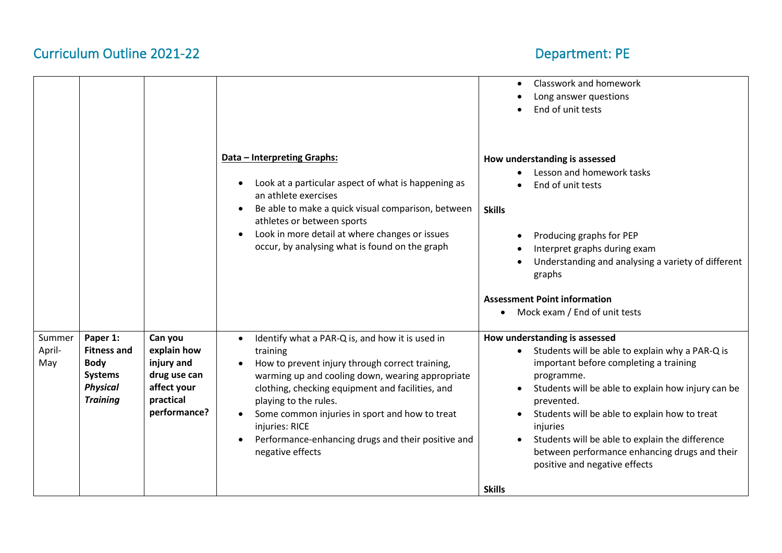|                         |                                                                                                       |                                                                                                  |                                                                                                                                                                                                                                                                                                                                                                                                                         | Classwork and homework<br>$\bullet$<br>Long answer questions<br>End of unit tests                                                                                                                                                                                                                                                                                                                                                                                      |
|-------------------------|-------------------------------------------------------------------------------------------------------|--------------------------------------------------------------------------------------------------|-------------------------------------------------------------------------------------------------------------------------------------------------------------------------------------------------------------------------------------------------------------------------------------------------------------------------------------------------------------------------------------------------------------------------|------------------------------------------------------------------------------------------------------------------------------------------------------------------------------------------------------------------------------------------------------------------------------------------------------------------------------------------------------------------------------------------------------------------------------------------------------------------------|
|                         |                                                                                                       |                                                                                                  | Data - Interpreting Graphs:<br>Look at a particular aspect of what is happening as<br>$\bullet$<br>an athlete exercises<br>Be able to make a quick visual comparison, between<br>$\bullet$<br>athletes or between sports<br>Look in more detail at where changes or issues<br>$\bullet$<br>occur, by analysing what is found on the graph                                                                               | How understanding is assessed<br>Lesson and homework tasks<br>End of unit tests<br><b>Skills</b><br>Producing graphs for PEP<br>$\bullet$<br>Interpret graphs during exam<br>Understanding and analysing a variety of different<br>graphs                                                                                                                                                                                                                              |
|                         |                                                                                                       |                                                                                                  |                                                                                                                                                                                                                                                                                                                                                                                                                         | <b>Assessment Point information</b><br>Mock exam / End of unit tests                                                                                                                                                                                                                                                                                                                                                                                                   |
| Summer<br>April-<br>May | Paper 1:<br><b>Fitness and</b><br><b>Body</b><br><b>Systems</b><br><b>Physical</b><br><b>Training</b> | Can you<br>explain how<br>injury and<br>drug use can<br>affect your<br>practical<br>performance? | Identify what a PAR-Q is, and how it is used in<br>$\bullet$<br>training<br>How to prevent injury through correct training,<br>warming up and cooling down, wearing appropriate<br>clothing, checking equipment and facilities, and<br>playing to the rules.<br>Some common injuries in sport and how to treat<br>$\bullet$<br>injuries: RICE<br>Performance-enhancing drugs and their positive and<br>negative effects | How understanding is assessed<br>Students will be able to explain why a PAR-Q is<br>important before completing a training<br>programme.<br>Students will be able to explain how injury can be<br>$\bullet$<br>prevented.<br>Students will be able to explain how to treat<br>$\bullet$<br>injuries<br>Students will be able to explain the difference<br>$\bullet$<br>between performance enhancing drugs and their<br>positive and negative effects<br><b>Skills</b> |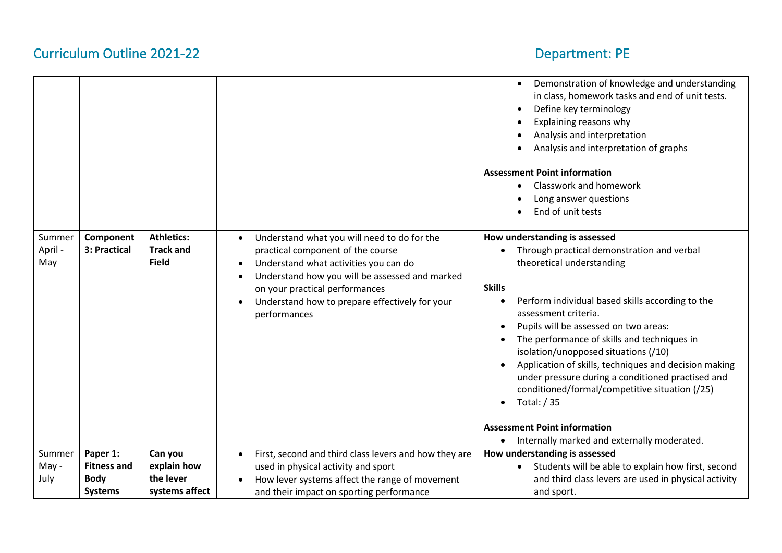|                          |                           |                                                       |                                                                                                                                                                                                                                                                                                                                     | Demonstration of knowledge and understanding<br>in class, homework tasks and end of unit tests.<br>Define key terminology<br>Explaining reasons why<br>Analysis and interpretation<br>Analysis and interpretation of graphs<br><b>Assessment Point information</b><br>Classwork and homework<br>Long answer questions<br>End of unit tests                                                                                                                                                                                                                                                                              |
|--------------------------|---------------------------|-------------------------------------------------------|-------------------------------------------------------------------------------------------------------------------------------------------------------------------------------------------------------------------------------------------------------------------------------------------------------------------------------------|-------------------------------------------------------------------------------------------------------------------------------------------------------------------------------------------------------------------------------------------------------------------------------------------------------------------------------------------------------------------------------------------------------------------------------------------------------------------------------------------------------------------------------------------------------------------------------------------------------------------------|
| Summer<br>April -<br>May | Component<br>3: Practical | <b>Athletics:</b><br><b>Track and</b><br><b>Field</b> | Understand what you will need to do for the<br>$\bullet$<br>practical component of the course<br>Understand what activities you can do<br>$\bullet$<br>Understand how you will be assessed and marked<br>$\bullet$<br>on your practical performances<br>Understand how to prepare effectively for your<br>$\bullet$<br>performances | How understanding is assessed<br>Through practical demonstration and verbal<br>theoretical understanding<br><b>Skills</b><br>Perform individual based skills according to the<br>assessment criteria.<br>Pupils will be assessed on two areas:<br>The performance of skills and techniques in<br>isolation/unopposed situations (/10)<br>Application of skills, techniques and decision making<br>under pressure during a conditioned practised and<br>conditioned/formal/competitive situation (/25)<br>Total: / 35<br>$\bullet$<br><b>Assessment Point information</b><br>Internally marked and externally moderated. |
| Summer                   | Paper 1:                  | Can you                                               | First, second and third class levers and how they are<br>$\bullet$                                                                                                                                                                                                                                                                  | How understanding is assessed                                                                                                                                                                                                                                                                                                                                                                                                                                                                                                                                                                                           |
| May -                    | <b>Fitness and</b>        | explain how                                           | used in physical activity and sport                                                                                                                                                                                                                                                                                                 | Students will be able to explain how first, second                                                                                                                                                                                                                                                                                                                                                                                                                                                                                                                                                                      |
| July                     | <b>Body</b>               | the lever                                             | How lever systems affect the range of movement                                                                                                                                                                                                                                                                                      | and third class levers are used in physical activity                                                                                                                                                                                                                                                                                                                                                                                                                                                                                                                                                                    |
|                          | <b>Systems</b>            | systems affect                                        | and their impact on sporting performance                                                                                                                                                                                                                                                                                            | and sport.                                                                                                                                                                                                                                                                                                                                                                                                                                                                                                                                                                                                              |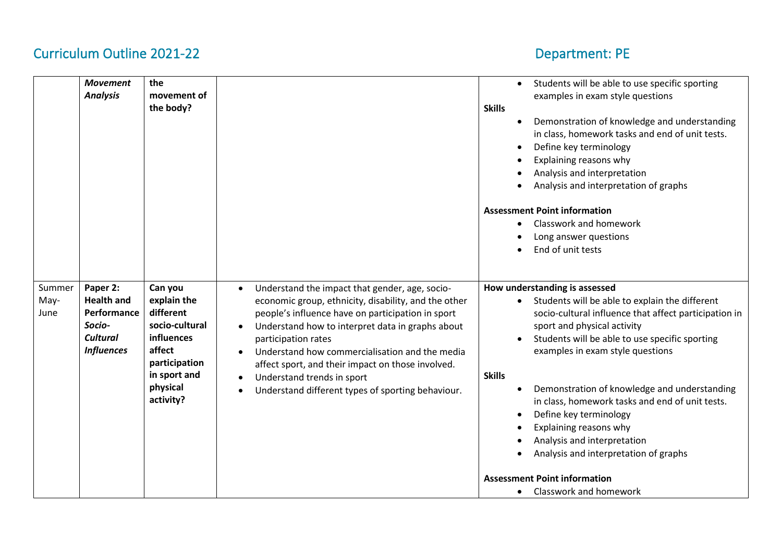|                        | <b>Movement</b><br><b>Analysis</b>                                                             | the<br>movement of<br>the body?                                                                                                         |                                                                                                                                                                                                                                                                                                                                                                                                                                  | Students will be able to use specific sporting<br>examples in exam style questions<br><b>Skills</b><br>Demonstration of knowledge and understanding<br>in class, homework tasks and end of unit tests.<br>Define key terminology<br>Explaining reasons why<br>Analysis and interpretation<br>Analysis and interpretation of graphs<br><b>Assessment Point information</b><br>Classwork and homework<br>Long answer questions<br>End of unit tests                                                                                                                                                               |
|------------------------|------------------------------------------------------------------------------------------------|-----------------------------------------------------------------------------------------------------------------------------------------|----------------------------------------------------------------------------------------------------------------------------------------------------------------------------------------------------------------------------------------------------------------------------------------------------------------------------------------------------------------------------------------------------------------------------------|-----------------------------------------------------------------------------------------------------------------------------------------------------------------------------------------------------------------------------------------------------------------------------------------------------------------------------------------------------------------------------------------------------------------------------------------------------------------------------------------------------------------------------------------------------------------------------------------------------------------|
| Summer<br>May-<br>June | Paper 2:<br><b>Health and</b><br>Performance<br>Socio-<br><b>Cultural</b><br><b>Influences</b> | Can you<br>explain the<br>different<br>socio-cultural<br>influences<br>affect<br>participation<br>in sport and<br>physical<br>activity? | Understand the impact that gender, age, socio-<br>economic group, ethnicity, disability, and the other<br>people's influence have on participation in sport<br>Understand how to interpret data in graphs about<br>participation rates<br>Understand how commercialisation and the media<br>affect sport, and their impact on those involved.<br>Understand trends in sport<br>Understand different types of sporting behaviour. | How understanding is assessed<br>Students will be able to explain the different<br>$\bullet$<br>socio-cultural influence that affect participation in<br>sport and physical activity<br>Students will be able to use specific sporting<br>examples in exam style questions<br><b>Skills</b><br>Demonstration of knowledge and understanding<br>in class, homework tasks and end of unit tests.<br>Define key terminology<br>Explaining reasons why<br>Analysis and interpretation<br>Analysis and interpretation of graphs<br><b>Assessment Point information</b><br><b>Classwork and homework</b><br>$\bullet$ |